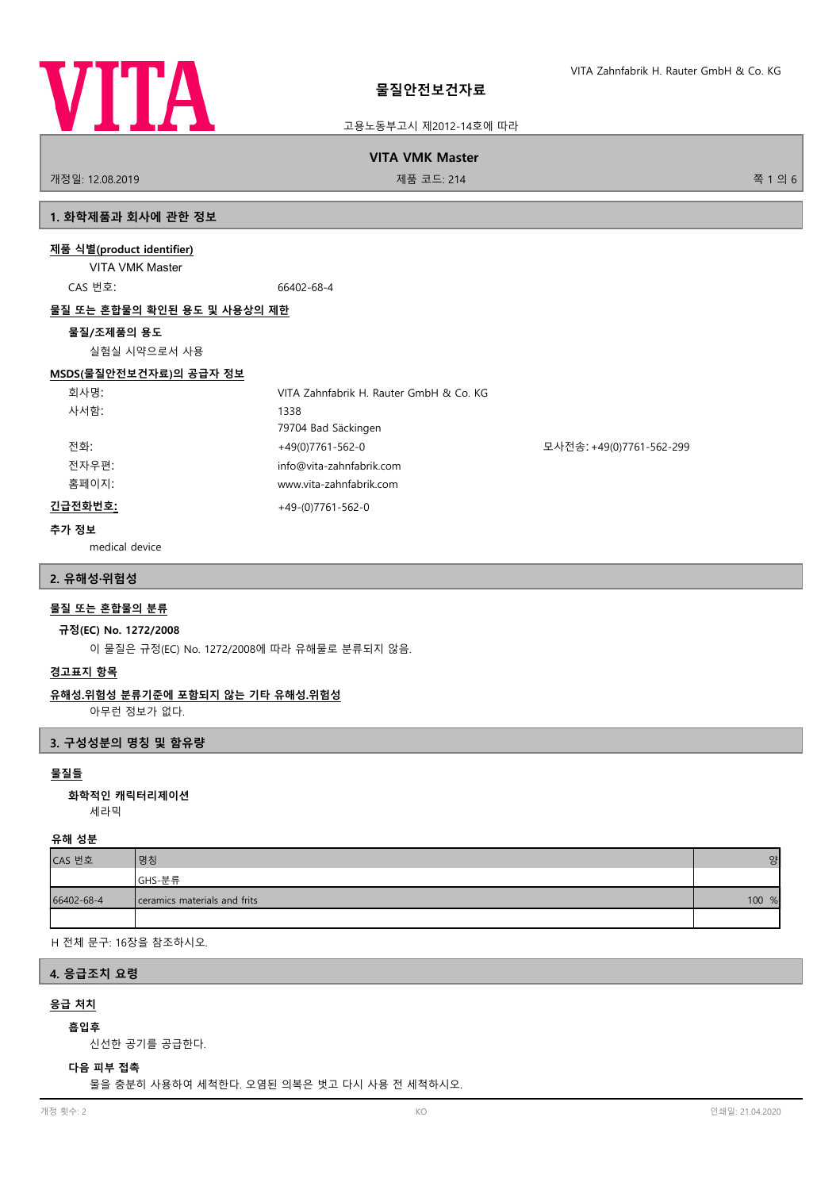

#### **VITA VMK Master**

개정일: 12.08.2019 제품 코드: 214 쪽 1 의 6

# **1. 화학제품과 회사에 관한 정보**

#### **제품 식별(product identifier)**

VITA VMK Master CAS 번호: 66402-68-4

#### **물질 또는 혼합물의 확인된 용도 및 사용상의 제한**

#### **물질/조제품의 용도**

실험실 시약으로서 사용

# **MSDS(물질안전보건자료)의 공급자 정보**

| 회사명:    | VITA Zahnfabrik H. Rauter GmbH & Co. KG |                          |
|---------|-----------------------------------------|--------------------------|
| 사서함:    | 1338                                    |                          |
|         | 79704 Bad Säckingen                     |                          |
| 전화:     | +49(0)7761-562-0                        | 모사전송: +49(0)7761-562-299 |
| 전자우편:   | info@vita-zahnfabrik.com                |                          |
| 홈페이지:   | www.vita-zahnfabrik.com                 |                          |
| 긴급전화번호: | $+49-(0)7761-562-0$                     |                          |

#### **추가 정보**

medical device

#### **2. 유해성·위험성**

# **물질 또는 혼합물의 분류**

#### **규정(EC) No. 1272/2008**

이 물질은 규정(EC) No. 1272/2008에 따라 유해물로 분류되지 않음.

#### **경고표지 항목**

## **유해성.위험성 분류기준에 포함되지 않는 기타 유해성.위험성**

아무런 정보가 없다.

#### **3. 구성성분의 명칭 및 함유량**

## **물질들**

세라믹 **화학적인 캐릭터리제이션**

#### **유해 성분**

| CAS 번호     | 명칭                           | 양     |
|------------|------------------------------|-------|
|            | GHS-분류                       |       |
| 66402-68-4 | ceramics materials and frits | 100 % |
|            |                              |       |

H 전체 문구: 16장을 참조하시오.

## **4. 응급조치 요령**

# **응급 처치**

## **흡입후**

신선한 공기를 공급한다.

## **다음 피부 접촉**

물을 충분히 사용하여 세척한다. 오염된 의복은 벗고 다시 사용 전 세척하시오.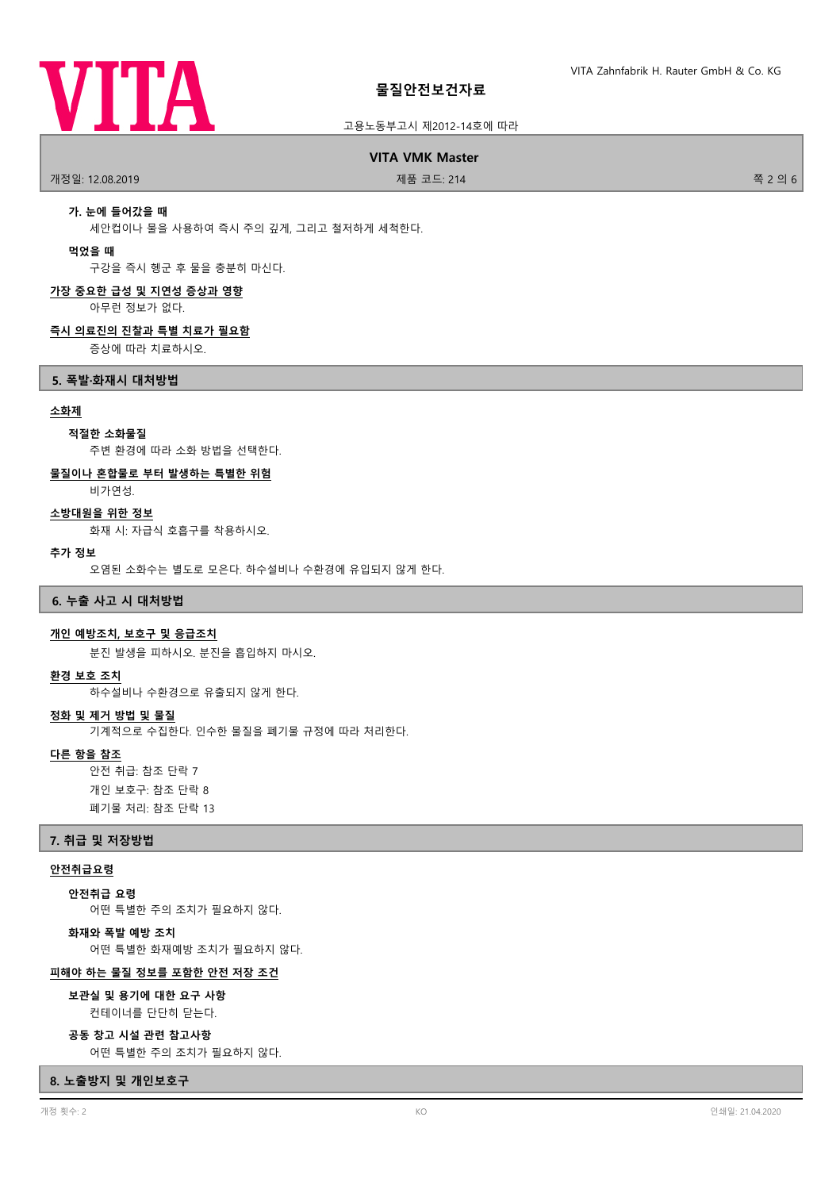

# **물질안전보건자료**

#### 고용노동부고시 제2012-14호에 따라

**VITA VMK Master**

개정일: 12.08.2019 제품 코드: 214 쪽 2 의 6

## **가. 눈에 들어갔을 때**

세안컵이나 물을 사용하여 즉시 주의 깊게, 그리고 철저하게 세척한다.

#### **먹었을 때**

구강을 즉시 헹군 후 물을 충분히 마신다.

# **가장 중요한 급성 및 지연성 증상과 영향**

아무런 정보가 없다.

#### **즉시 의료진의 진찰과 특별 치료가 필요함**

증상에 따라 치료하시오.

#### **5. 폭발·화재시 대처방법**

#### **소화제**

#### **적절한 소화물질**

주변 환경에 따라 소화 방법을 선택한다.

## **물질이나 혼합물로 부터 발생하는 특별한 위험**

비가연성.

## **소방대원을 위한 정보**

화재 시: 자급식 호흡구를 착용하시오.

#### **추가 정보**

오염된 소화수는 별도로 모은다. 하수설비나 수환경에 유입되지 않게 한다.

#### **6. 누출 사고 시 대처방법**

#### **개인 예방조치, 보호구 및 응급조치**

분진 발생을 피하시오. 분진을 흡입하지 마시오.

#### **환경 보호 조치**

하수설비나 수환경으로 유출되지 않게 한다.

#### **정화 및 제거 방법 및 물질**

기계적으로 수집한다. 인수한 물질을 폐기물 규정에 따라 처리한다.

#### **다른 항을 참조**

안전 취급: 참조 단락 7 개인 보호구: 참조 단락 8 폐기물 처리: 참조 단락 13

#### **7. 취급 및 저장방법**

#### **안전취급요령**

**안전취급 요령**

어떤 특별한 주의 조치가 필요하지 않다.

## **화재와 폭발 예방 조치**

어떤 특별한 화재예방 조치가 필요하지 않다.

#### **피해야 하는 물질 정보를 포함한 안전 저장 조건**

컨테이너를 단단히 닫는다. **보관실 및 용기에 대한 요구 사항**

#### **공동 창고 시설 관련 참고사항**

어떤 특별한 주의 조치가 필요하지 않다.

#### **8. 노출방지 및 개인보호구**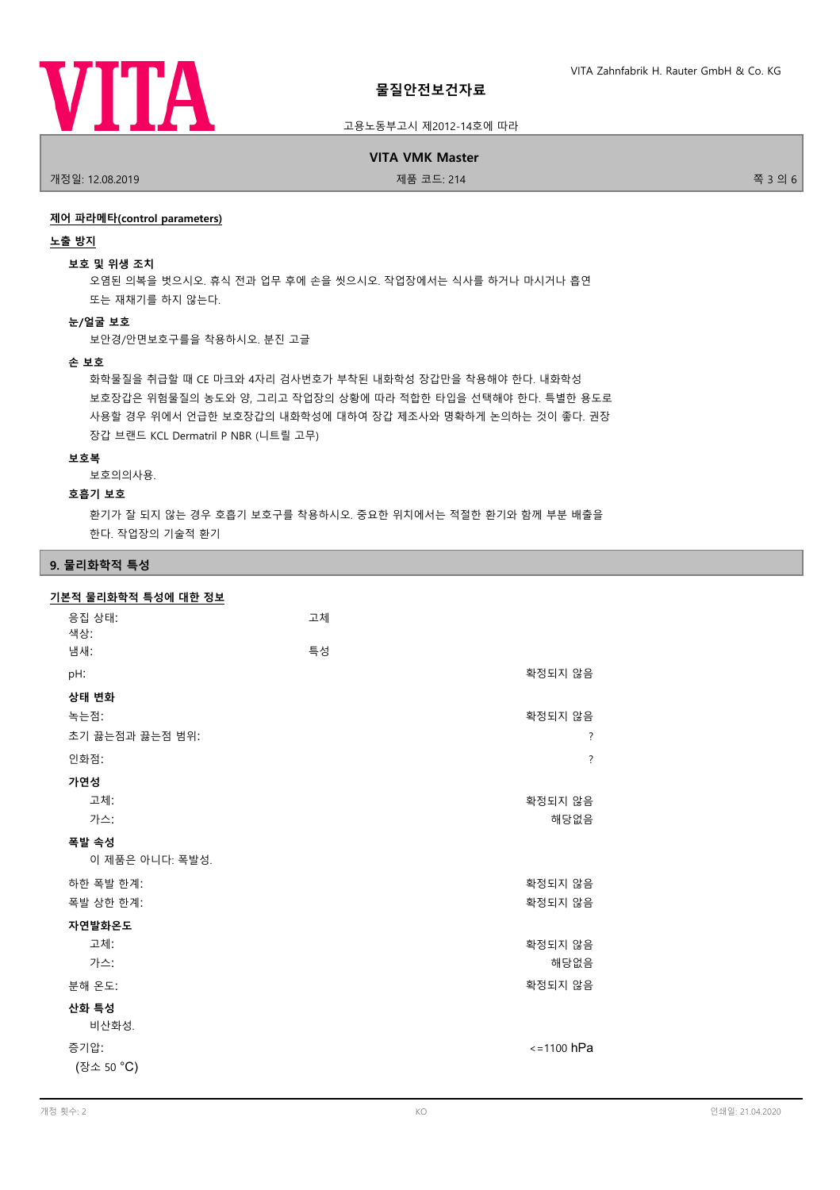

**VITA VMK Master**

개정일: 12.08.2019 제품 코드: 214 쪽 3 의 6

## **제어 파라메타(control parameters)**

#### **노출 방지**

#### **보호 및 위생 조치**

오염된 의복을 벗으시오. 휴식 전과 업무 후에 손을 씻으시오. 작업장에서는 식사를 하거나 마시거나 흡연 또는 재채기를 하지 않는다.

#### **눈/얼굴 보호**

보안경/안면보호구를을 착용하시오. 분진 고글

# **손 보호**

화학물질을 취급할 때 CE 마크와 4자리 검사번호가 부착된 내화학성 장갑만을 착용해야 한다. 내화학성 보호장갑은 위험물질의 농도와 양, 그리고 작업장의 상황에 따라 적합한 타입을 선택해야 한다. 특별한 용도로 사용할 경우 위에서 언급한 보호장갑의 내화학성에 대하여 장갑 제조사와 명확하게 논의하는 것이 좋다. 권장 장갑 브랜드 KCL Dermatril P NBR (니트릴 고무)

## **보호복**

보호의의사용.

#### **호흡기 보호**

환기가 잘 되지 않는 경우 호흡기 보호구를 착용하시오. 중요한 위치에서는 적절한 환기와 함께 부분 배출을 한다. 작업장의 기술적 환기

# **9. 물리화학적 특성**

| 기본적 물리화학적 특성에 대한 정보 |    |                          |
|---------------------|----|--------------------------|
| 응집 상태:              | 고체 |                          |
| 색상:                 |    |                          |
| 냄새:                 | 특성 |                          |
| pH:                 |    | 확정되지 않음                  |
| 상태 변화               |    |                          |
| 녹는점:                |    | 확정되지 않음                  |
| 초기 끓는점과 끓는점 범위:     |    | ?                        |
| 인화점:                |    | $\overline{\mathcal{E}}$ |
| 가연성                 |    |                          |
| 고체:                 |    | 확정되지 않음                  |
| 가스:                 |    | 해당없음                     |
| 폭발 속성               |    |                          |
| 이 제품은 아니다: 폭발성.     |    |                          |
| 하한 폭발 한계:           |    | 확정되지 않음                  |
| 폭발 상한 한계:           |    | 확정되지 않음                  |
| 자연발화온도              |    |                          |
| 고체:                 |    | 확정되지 않음                  |
| 가스:                 |    | 해당없음                     |
| 분해 온도:              |    | 확정되지 않음                  |
| 산화 특성               |    |                          |
| 비산화성.               |    |                          |
| 증기압:                |    | $\le$ =1100 hPa          |
| (장소 50 °C)          |    |                          |
|                     |    |                          |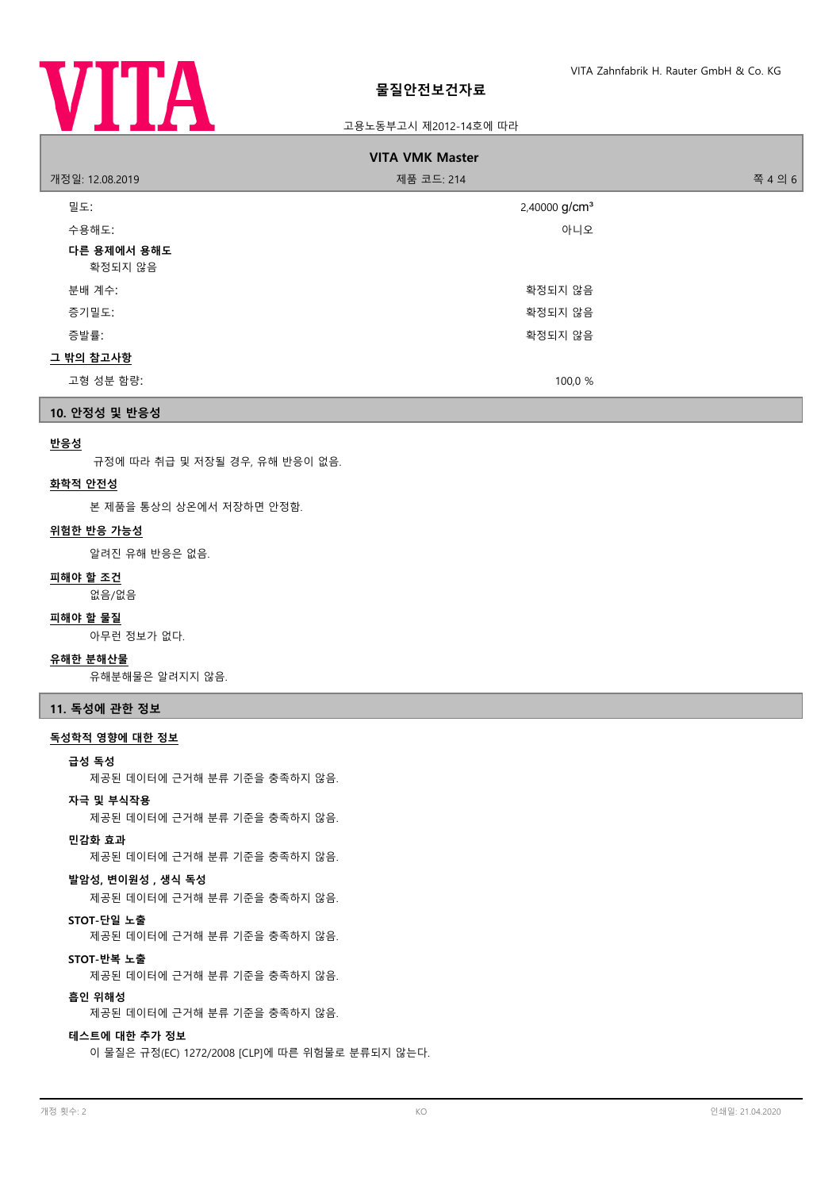

| <b>VITA VMK Master</b> |                           |         |
|------------------------|---------------------------|---------|
| 개정일: 12.08.2019        | 제품 코드: 214                | 쪽 4 의 6 |
| 밀도:                    | 2,40000 g/cm <sup>3</sup> |         |
| 수용해도:                  | 아니오                       |         |
| 다른 용제에서 용해도<br>확정되지 않음 |                           |         |
| 분배 계수:                 | 확정되지 않음                   |         |
| 증기밀도:                  | 확정되지 않음                   |         |
| 증발률:                   | 확정되지 않음                   |         |
| 그 밖의 참고사항              |                           |         |
| 고형 성분 함량:              | 100,0 %                   |         |

**10. 안정성 및 반응성**

## **반응성**

규정에 따라 취급 및 저장될 경우, 유해 반응이 없음.

# **화학적 안전성**

본 제품을 통상의 상온에서 저장하면 안정함.

#### **위험한 반응 가능성**

알려진 유해 반응은 없음.

# **피해야 할 조건**

없음/없음

## **피해야 할 물질**

아무런 정보가 없다.

## **유해한 분해산물**

유해분해물은 알려지지 않음.

# **11. 독성에 관한 정보**

## **독성학적 영향에 대한 정보**

#### **급성 독성**

제공된 데이터에 근거해 분류 기준을 충족하지 않음.

#### **자극 및 부식작용**

제공된 데이터에 근거해 분류 기준을 충족하지 않음.

#### **민감화 효과**

제공된 데이터에 근거해 분류 기준을 충족하지 않음.

#### **발암성, 변이원성 , 생식 독성**

제공된 데이터에 근거해 분류 기준을 충족하지 않음.

# **STOT-단일 노출**

제공된 데이터에 근거해 분류 기준을 충족하지 않음.

#### **STOT-반복 노출**

제공된 데이터에 근거해 분류 기준을 충족하지 않음.

#### **흡인 위해성**

제공된 데이터에 근거해 분류 기준을 충족하지 않음.

# **테스트에 대한 추가 정보**

이 물질은 규정(EC) 1272/2008 [CLP]에 따른 위험물로 분류되지 않는다.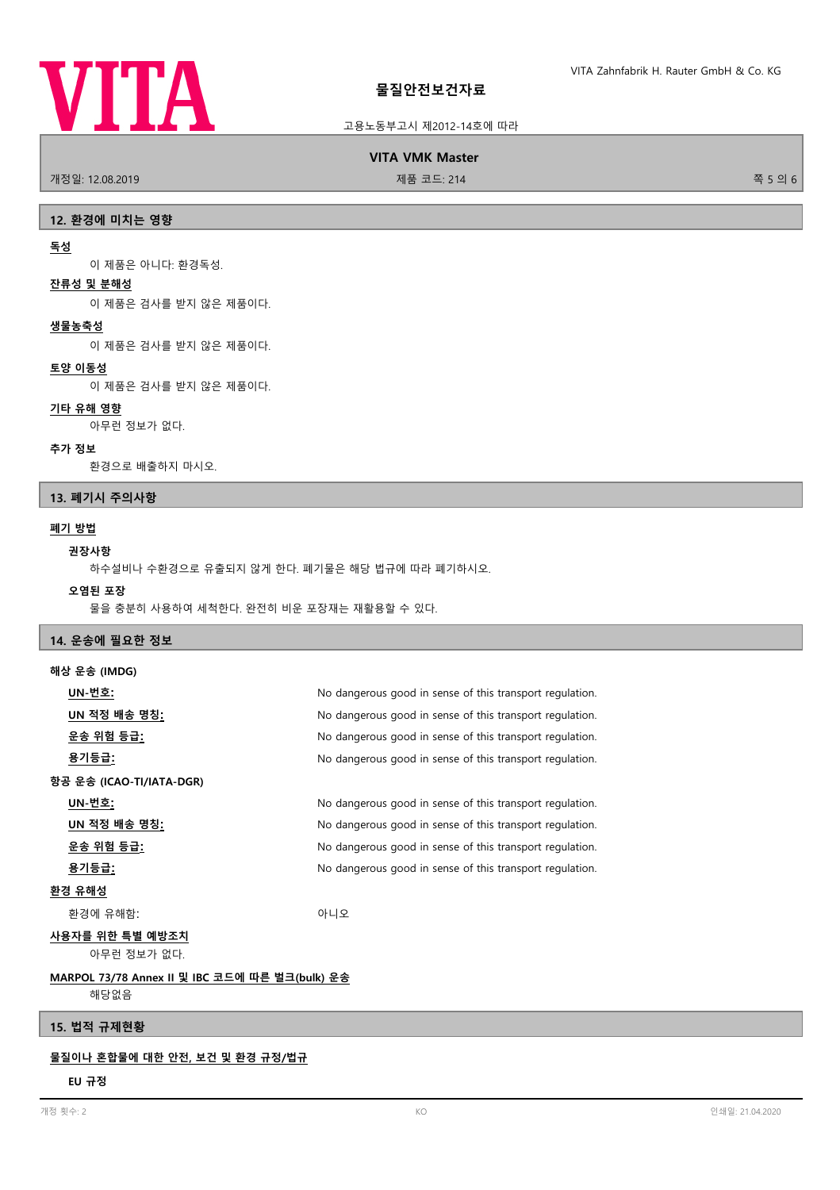

**VITA VMK Master**

개정일: 12.08.2019 제품 코드: 214 쪽 5 의 6

## **12. 환경에 미치는 영향**

## **독성**

이 제품은 아니다: 환경독성.

#### **잔류성 및 분해성**

이 제품은 검사를 받지 않은 제품이다.

#### **생물농축성**

이 제품은 검사를 받지 않은 제품이다.

#### **토양 이동성**

이 제품은 검사를 받지 않은 제품이다.

# **기타 유해 영향**

아무런 정보가 없다.

#### **추가 정보**

환경으로 배출하지 마시오.

# **13. 폐기시 주의사항**

## **폐기 방법**

## **권장사항**

하수설비나 수환경으로 유출되지 않게 한다. 폐기물은 해당 법규에 따라 폐기하시오.

# **오염된 포장**

물을 충분히 사용하여 세척한다. 완전히 비운 포장재는 재활용할 수 있다.

# **14. 운송에 필요한 정보 해상 운송 (IMDG)**

| 에싱 군궁 (IIVIUU)                                 |                                                          |
|------------------------------------------------|----------------------------------------------------------|
| UN-번호:                                         | No dangerous good in sense of this transport regulation. |
| <u>UN 적정 배송 명칭:</u>                            | No dangerous good in sense of this transport regulation. |
| <u>운송 위험 등급:</u>                               | No dangerous good in sense of this transport regulation. |
| 용기등급 <u>:</u>                                  | No dangerous good in sense of this transport regulation. |
| 항공 운송 (ICAO-TI/IATA-DGR)                       |                                                          |
| UN-번호:                                         | No dangerous good in sense of this transport regulation. |
| UN 적정 배송 명칭 <u>:</u>                           | No dangerous good in sense of this transport regulation. |
| 운송 위험 등급:                                      | No dangerous good in sense of this transport regulation. |
| 용기등급 <u>:</u>                                  | No dangerous good in sense of this transport regulation. |
| 환경 유해성                                         |                                                          |
| 환경에 유해함:                                       | 아니오                                                      |
| 사용자를 위한 특별 예방조치                                |                                                          |
| 아무런 정보가 없다.                                    |                                                          |
| MARPOL 73/78 Annex II 및 IBC 코드에 따른 벌크(bulk) 운송 |                                                          |
| 해당없음                                           |                                                          |

## **15. 법적 규제현황**

## **물질이나 혼합물에 대한 안전, 보건 및 환경 규정/법규**

# **EU 규정**